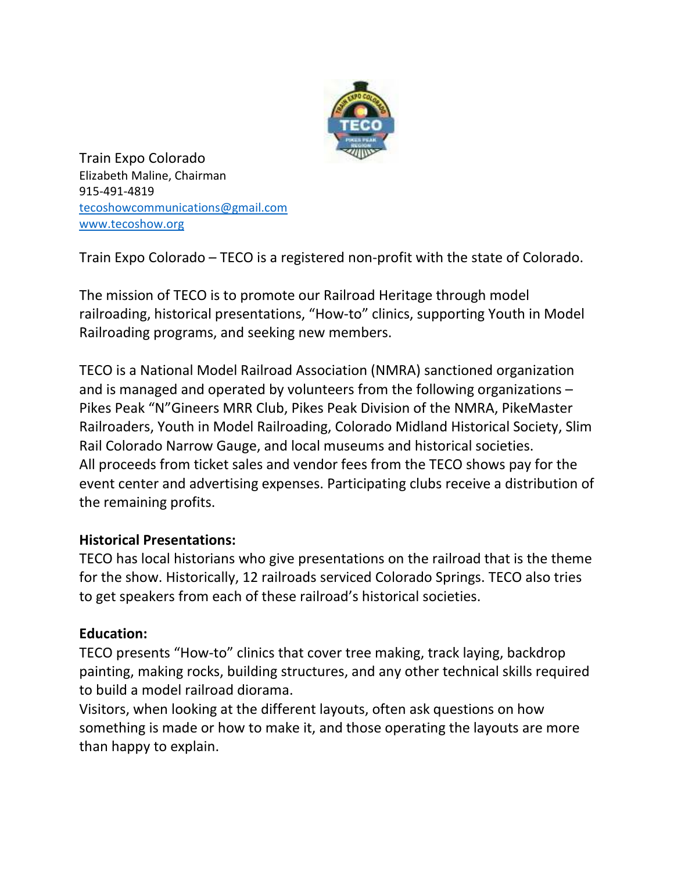

Train Expo Colorado Elizabeth Maline, Chairman 915-491-4819 tecoshowcommunications@gmail.com www.tecoshow.org

Train Expo Colorado – TECO is a registered non-profit with the state of Colorado.

The mission of TECO is to promote our Railroad Heritage through model railroading, historical presentations, "How-to" clinics, supporting Youth in Model Railroading programs, and seeking new members.

TECO is a National Model Railroad Association (NMRA) sanctioned organization and is managed and operated by volunteers from the following organizations – Pikes Peak "N"Gineers MRR Club, Pikes Peak Division of the NMRA, PikeMaster Railroaders, Youth in Model Railroading, Colorado Midland Historical Society, Slim Rail Colorado Narrow Gauge, and local museums and historical societies. All proceeds from ticket sales and vendor fees from the TECO shows pay for the event center and advertising expenses. Participating clubs receive a distribution of the remaining profits.

## **Historical Presentations:**

TECO has local historians who give presentations on the railroad that is the theme for the show. Historically, 12 railroads serviced Colorado Springs. TECO also tries to get speakers from each of these railroad's historical societies.

## **Education:**

TECO presents "How-to" clinics that cover tree making, track laying, backdrop painting, making rocks, building structures, and any other technical skills required to build a model railroad diorama.

Visitors, when looking at the different layouts, often ask questions on how something is made or how to make it, and those operating the layouts are more than happy to explain.